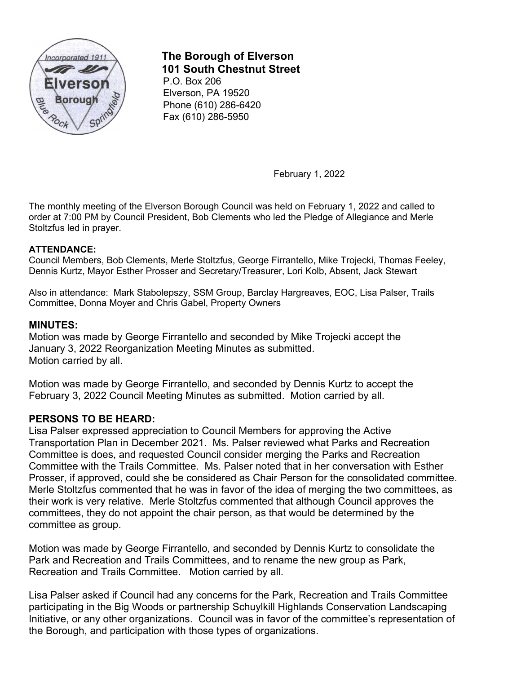

# **The Borough of Elverson 101 South Chestnut Street**

P.O. Box 206 Elverson, PA 19520 Phone (610) 286-6420 Fax (610) 286-5950

February 1, 2022

The monthly meeting of the Elverson Borough Council was held on February 1, 2022 and called to order at 7:00 PM by Council President, Bob Clements who led the Pledge of Allegiance and Merle Stoltzfus led in prayer.

## **ATTENDANCE:**

Council Members, Bob Clements, Merle Stoltzfus, George Firrantello, Mike Trojecki, Thomas Feeley, Dennis Kurtz, Mayor Esther Prosser and Secretary/Treasurer, Lori Kolb, Absent, Jack Stewart

Also in attendance: Mark Stabolepszy, SSM Group, Barclay Hargreaves, EOC, Lisa Palser, Trails Committee, Donna Moyer and Chris Gabel, Property Owners

# **MINUTES:**

Motion was made by George Firrantello and seconded by Mike Trojecki accept the January 3, 2022 Reorganization Meeting Minutes as submitted. Motion carried by all.

Motion was made by George Firrantello, and seconded by Dennis Kurtz to accept the February 3, 2022 Council Meeting Minutes as submitted. Motion carried by all.

### **PERSONS TO BE HEARD:**

Lisa Palser expressed appreciation to Council Members for approving the Active Transportation Plan in December 2021. Ms. Palser reviewed what Parks and Recreation Committee is does, and requested Council consider merging the Parks and Recreation Committee with the Trails Committee. Ms. Palser noted that in her conversation with Esther Prosser, if approved, could she be considered as Chair Person for the consolidated committee. Merle Stoltzfus commented that he was in favor of the idea of merging the two committees, as their work is very relative. Merle Stoltzfus commented that although Council approves the committees, they do not appoint the chair person, as that would be determined by the committee as group.

Motion was made by George Firrantello, and seconded by Dennis Kurtz to consolidate the Park and Recreation and Trails Committees, and to rename the new group as Park, Recreation and Trails Committee. Motion carried by all.

Lisa Palser asked if Council had any concerns for the Park, Recreation and Trails Committee participating in the Big Woods or partnership Schuylkill Highlands Conservation Landscaping Initiative, or any other organizations. Council was in favor of the committee's representation of the Borough, and participation with those types of organizations.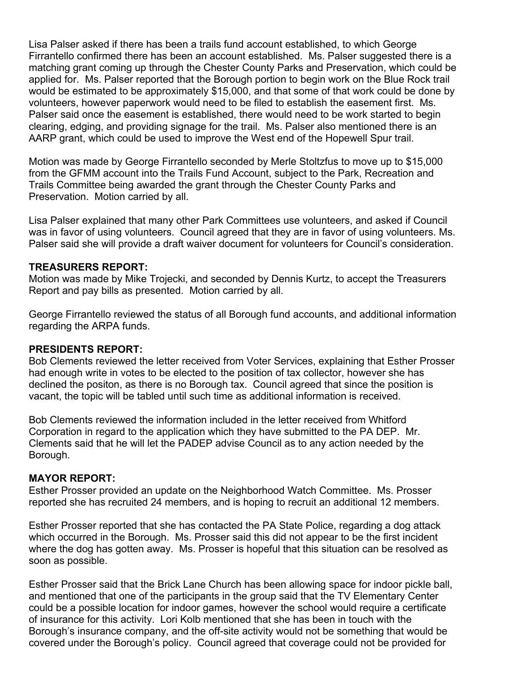Lisa Palser asked if there has been a trails fund account established, to which George Firrantello confirmed there has been an account established. Ms. Palser suggested there is a matching grant coming up through the Chester County Parks and Preservation, which could be applied for. Ms. Palser reported that the Borough portion to begin work on the Blue Rock trail would be estimated to be approximately \$15,000, and that some of that work could be done by volunteers, however paperwork would need to be filed to establish the easement first. Ms. Palser said once the easement is established, there would need to be work started to begin clearing, edging, and providing signage for the trail. Ms. Palser also mentioned there is an AARP grant, which could be used to improve the West end of the Hopewell Spur trail.

Motion was made by George Firrantello seconded by Merle Stoltzfus to move up to \$15,000 from the GFMM account into the Trails Fund Account, subject to the Park, Recreation and Trails Committee being awarded the grant through the Chester County Parks and Preservation. Motion carried by all.

Lisa Palser explained that many other Park Committees use volunteers, and asked if Council was in favor of using volunteers. Council agreed that they are in favor of using volunteers. Ms. Palser said she will provide a draft waiver document for volunteers for Council's consideration.

### **TREASURERS REPORT:**

Motion was made by Mike Trojecki, and seconded by Dennis Kurtz, to accept the Treasurers Report and pay bills as presented. Motion carried by all.

George Firrantello reviewed the status of all Borough fund accounts, and additional information regarding the ARPA funds.

#### **PRESIDENTS REPORT:**

Bob Clements reviewed the letter received from Voter Services, explaining that Esther Prosser had enough write in votes to be elected to the position of tax collector, however she has declined the positon, as there is no Borough tax. Council agreed that since the position is vacant, the topic will be tabled until such time as additional information is received.

Bob Clements reviewed the information included in the letter received from Whitford Corporation in regard to the application which they have submitted to the PA DEP. Mr. Clements said that he will let the PADEP advise Council as to any action needed by the Borough.

#### **MAYOR REPORT:**

Esther Prosser provided an update on the Neighborhood Watch Committee. Ms. Prosser reported she has recruited 24 members, and is hoping to recruit an additional 12 members.

Esther Prosser reported that she has contacted the PA State Police, regarding a dog attack which occurred in the Borough. Ms. Prosser said this did not appear to be the first incident where the dog has gotten away. Ms. Prosser is hopeful that this situation can be resolved as soon as possible.

Esther Prosser said that the Brick Lane Church has been allowing space for indoor pickle ball, and mentioned that one of the participants in the group said that the TV Elementary Center could be a possible location for indoor games, however the school would require a certificate of insurance for this activity. Lori Kolb mentioned that she has been in touch with the Borough's insurance company, and the off-site activity would not be something that would be covered under the Borough's policy. Council agreed that coverage could not be provided for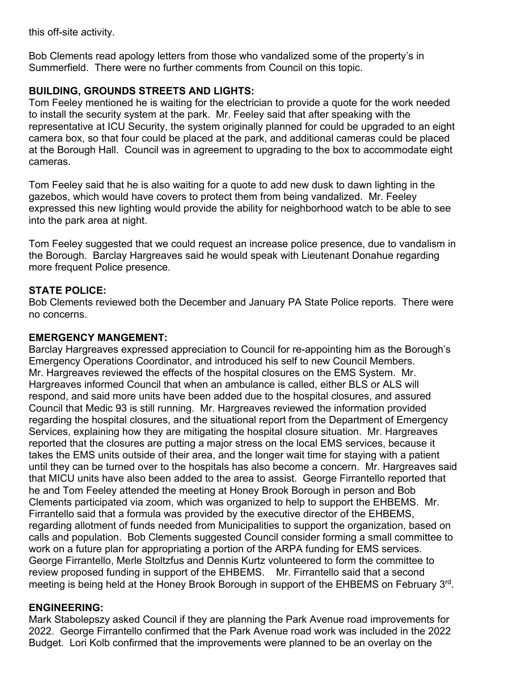this off-site activity.

Bob Clements read apology letters from those who vandalized some of the property's in Summerfield. There were no further comments from Council on this topic.

# **BUILDING, GROUNDS STREETS AND LIGHTS:**

Tom Feeley mentioned he is waiting for the electrician to provide a quote for the work needed to install the security system at the park. Mr. Feeley said that after speaking with the representative at ICU Security, the system originally planned for could be upgraded to an eight camera box, so that four could be placed at the park, and additional cameras could be placed at the Borough Hall. Council was in agreement to upgrading to the box to accommodate eight cameras.

Tom Feeley said that he is also waiting for a quote to add new dusk to dawn lighting in the gazebos, which would have covers to protect them from being vandalized. Mr. Feeley expressed this new lighting would provide the ability for neighborhood watch to be able to see into the park area at night.

Tom Feeley suggested that we could request an increase police presence, due to vandalism in the Borough. Barclay Hargreaves said he would speak with Lieutenant Donahue regarding more frequent Police presence.

# **STATE POLICE:**

Bob Clements reviewed both the December and January PA State Police reports. There were no concerns.

# **EMERGENCY MANGEMENT:**

Barclay Hargreaves expressed appreciation to Council for re-appointing him as the Borough's Emergency Operations Coordinator, and introduced his self to new Council Members. Mr. Hargreaves reviewed the effects of the hospital closures on the EMS System. Mr. Hargreaves informed Council that when an ambulance is called, either BLS or ALS will respond, and said more units have been added due to the hospital closures, and assured Council that Medic 93 is still running. Mr. Hargreaves reviewed the information provided regarding the hospital closures, and the situational report from the Department of Emergency Services, explaining how they are mitigating the hospital closure situation. Mr. Hargreaves reported that the closures are putting a major stress on the local EMS services, because it takes the EMS units outside of their area, and the longer wait time for staying with a patient until they can be turned over to the hospitals has also become a concern. Mr. Hargreaves said that MICU units have also been added to the area to assist. George Firrantello reported that he and Tom Feeley attended the meeting at Honey Brook Borough in person and Bob Clements participated via zoom, which was organized to help to support the EHBEMS. Mr. Firrantello said that a formula was provided by the executive director of the EHBEMS, regarding allotment of funds needed from Municipalities to support the organization, based on calls and population. Bob Clements suggested Council consider forming a small committee to work on a future plan for appropriating a portion of the ARPA funding for EMS services. George Firrantello, Merle Stoltzfus and Dennis Kurtz volunteered to form the committee to review proposed funding in support of the EHBEMS. Mr. Firrantello said that a second meeting is being held at the Honey Brook Borough in support of the EHBEMS on February 3rd.

# **ENGINEERING:**

Mark Stabolepszy asked Council if they are planning the Park Avenue road improvements for 2022. George Firrantello confirmed that the Park Avenue road work was included in the 2022 Budget. Lori Kolb confirmed that the improvements were planned to be an overlay on the